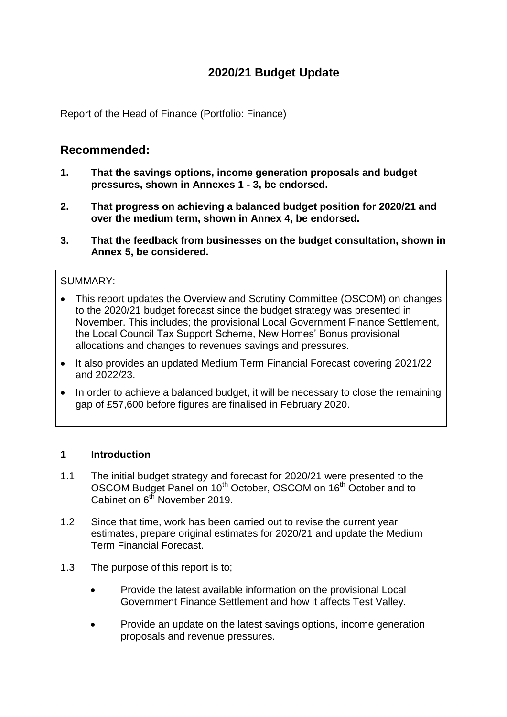# **2020/21 Budget Update**

Report of the Head of Finance (Portfolio: Finance)

## **Recommended:**

- **1. That the savings options, income generation proposals and budget pressures, shown in Annexes 1 - 3, be endorsed.**
- **2. That progress on achieving a balanced budget position for 2020/21 and over the medium term, shown in Annex 4, be endorsed.**
- **3. That the feedback from businesses on the budget consultation, shown in Annex 5, be considered.**

### SUMMARY:

- This report updates the Overview and Scrutiny Committee (OSCOM) on changes to the 2020/21 budget forecast since the budget strategy was presented in November. This includes; the provisional Local Government Finance Settlement, the Local Council Tax Support Scheme, New Homes' Bonus provisional allocations and changes to revenues savings and pressures.
- It also provides an updated Medium Term Financial Forecast covering 2021/22 and 2022/23.
- In order to achieve a balanced budget, it will be necessary to close the remaining gap of £57,600 before figures are finalised in February 2020.

### **1 Introduction**

- 1.1 The initial budget strategy and forecast for 2020/21 were presented to the OSCOM Budget Panel on 10<sup>th</sup> October, OSCOM on 16<sup>th</sup> October and to Cabinet on 6<sup>th</sup> November 2019.
- 1.2 Since that time, work has been carried out to revise the current year estimates, prepare original estimates for 2020/21 and update the Medium Term Financial Forecast.
- 1.3 The purpose of this report is to;
	- Provide the latest available information on the provisional Local Government Finance Settlement and how it affects Test Valley.
	- Provide an update on the latest savings options, income generation proposals and revenue pressures.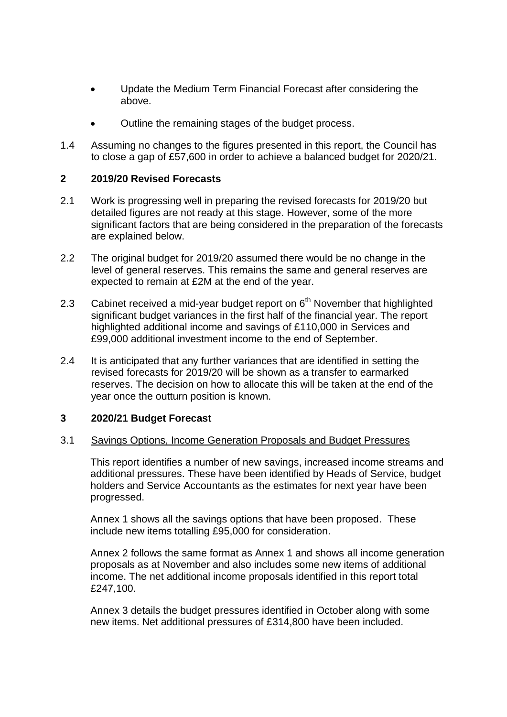- Update the Medium Term Financial Forecast after considering the above.
- Outline the remaining stages of the budget process.
- 1.4 Assuming no changes to the figures presented in this report, the Council has to close a gap of £57,600 in order to achieve a balanced budget for 2020/21.

### **2 2019/20 Revised Forecasts**

- 2.1 Work is progressing well in preparing the revised forecasts for 2019/20 but detailed figures are not ready at this stage. However, some of the more significant factors that are being considered in the preparation of the forecasts are explained below.
- 2.2 The original budget for 2019/20 assumed there would be no change in the level of general reserves. This remains the same and general reserves are expected to remain at £2M at the end of the year.
- 2.3 Cabinet received a mid-year budget report on  $6<sup>th</sup>$  November that highlighted significant budget variances in the first half of the financial year. The report highlighted additional income and savings of £110,000 in Services and £99,000 additional investment income to the end of September.
- 2.4 It is anticipated that any further variances that are identified in setting the revised forecasts for 2019/20 will be shown as a transfer to earmarked reserves. The decision on how to allocate this will be taken at the end of the year once the outturn position is known.

### **3 2020/21 Budget Forecast**

### 3.1 Savings Options, Income Generation Proposals and Budget Pressures

This report identifies a number of new savings, increased income streams and additional pressures. These have been identified by Heads of Service, budget holders and Service Accountants as the estimates for next year have been progressed.

Annex 1 shows all the savings options that have been proposed. These include new items totalling £95,000 for consideration.

Annex 2 follows the same format as Annex 1 and shows all income generation proposals as at November and also includes some new items of additional income. The net additional income proposals identified in this report total £247,100.

Annex 3 details the budget pressures identified in October along with some new items. Net additional pressures of £314,800 have been included.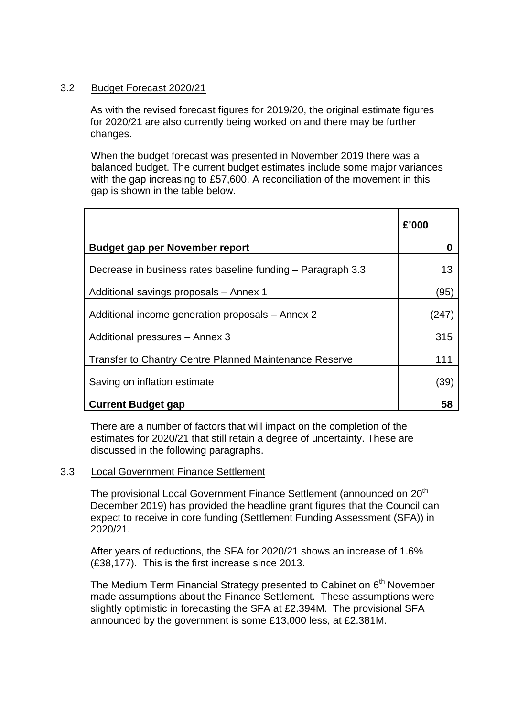### 3.2 Budget Forecast 2020/21

As with the revised forecast figures for 2019/20, the original estimate figures for 2020/21 are also currently being worked on and there may be further changes.

When the budget forecast was presented in November 2019 there was a balanced budget. The current budget estimates include some major variances with the gap increasing to £57,600. A reconciliation of the movement in this gap is shown in the table below.

|                                                               | £'000 |
|---------------------------------------------------------------|-------|
| <b>Budget gap per November report</b>                         |       |
| Decrease in business rates baseline funding – Paragraph 3.3   | 13    |
| Additional savings proposals - Annex 1                        | (95)  |
| Additional income generation proposals - Annex 2              | (247  |
| Additional pressures - Annex 3                                | 315   |
| <b>Transfer to Chantry Centre Planned Maintenance Reserve</b> | 111   |
| Saving on inflation estimate                                  | 39)   |
| <b>Current Budget gap</b>                                     | 58    |

There are a number of factors that will impact on the completion of the estimates for 2020/21 that still retain a degree of uncertainty. These are discussed in the following paragraphs.

### 3.3 Local Government Finance Settlement

The provisional Local Government Finance Settlement (announced on 20<sup>th</sup>) December 2019) has provided the headline grant figures that the Council can expect to receive in core funding (Settlement Funding Assessment (SFA)) in 2020/21.

After years of reductions, the SFA for 2020/21 shows an increase of 1.6% (£38,177). This is the first increase since 2013.

The Medium Term Financial Strategy presented to Cabinet on 6<sup>th</sup> November made assumptions about the Finance Settlement. These assumptions were slightly optimistic in forecasting the SFA at £2.394M. The provisional SFA announced by the government is some £13,000 less, at £2.381M.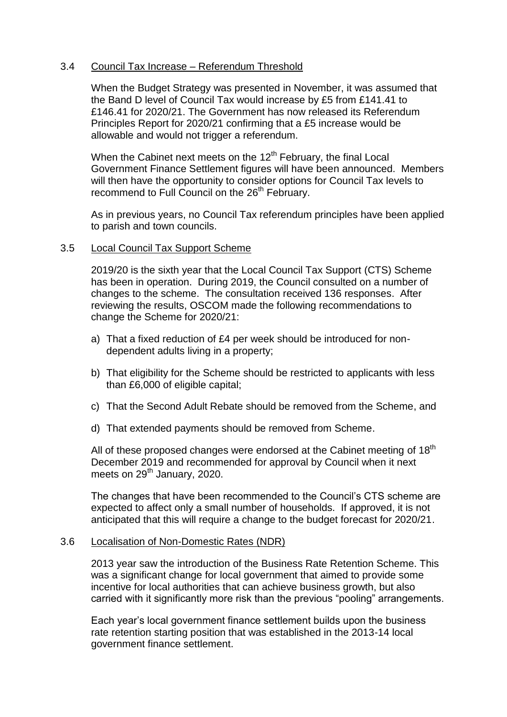### 3.4 Council Tax Increase – Referendum Threshold

When the Budget Strategy was presented in November, it was assumed that the Band D level of Council Tax would increase by £5 from £141.41 to £146.41 for 2020/21. The Government has now released its Referendum Principles Report for 2020/21 confirming that a £5 increase would be allowable and would not trigger a referendum.

When the Cabinet next meets on the 12<sup>th</sup> February, the final Local Government Finance Settlement figures will have been announced. Members will then have the opportunity to consider options for Council Tax levels to recommend to Full Council on the 26<sup>th</sup> February.

As in previous years, no Council Tax referendum principles have been applied to parish and town councils.

#### 3.5 Local Council Tax Support Scheme

2019/20 is the sixth year that the Local Council Tax Support (CTS) Scheme has been in operation. During 2019, the Council consulted on a number of changes to the scheme. The consultation received 136 responses. After reviewing the results, OSCOM made the following recommendations to change the Scheme for 2020/21:

- a) That a fixed reduction of £4 per week should be introduced for nondependent adults living in a property;
- b) That eligibility for the Scheme should be restricted to applicants with less than £6,000 of eligible capital;
- c) That the Second Adult Rebate should be removed from the Scheme, and
- d) That extended payments should be removed from Scheme.

All of these proposed changes were endorsed at the Cabinet meeting of  $18<sup>th</sup>$ December 2019 and recommended for approval by Council when it next meets on  $29<sup>th</sup>$  January, 2020.

The changes that have been recommended to the Council's CTS scheme are expected to affect only a small number of households. If approved, it is not anticipated that this will require a change to the budget forecast for 2020/21.

#### 3.6 Localisation of Non-Domestic Rates (NDR)

2013 year saw the introduction of the Business Rate Retention Scheme. This was a significant change for local government that aimed to provide some incentive for local authorities that can achieve business growth, but also carried with it significantly more risk than the previous "pooling" arrangements.

Each year's local government finance settlement builds upon the business rate retention starting position that was established in the 2013-14 local government finance settlement.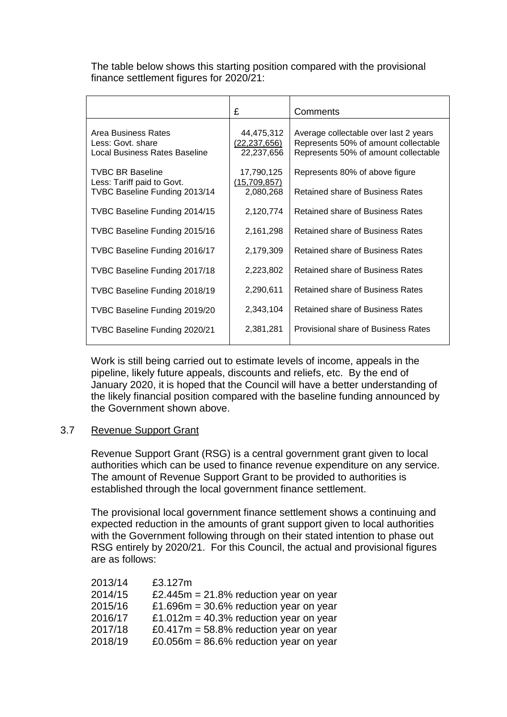The table below shows this starting position compared with the provisional finance settlement figures for 2020/21:

|                                                                           | £                                          | Comments                                                                                                              |  |
|---------------------------------------------------------------------------|--------------------------------------------|-----------------------------------------------------------------------------------------------------------------------|--|
| Area Business Rates<br>Less: Govt. share<br>Local Business Rates Baseline | 44,475,312<br>(22, 237, 656)<br>22,237,656 | Average collectable over last 2 years<br>Represents 50% of amount collectable<br>Represents 50% of amount collectable |  |
| <b>TVBC BR Baseline</b><br>Less: Tariff paid to Govt.                     | 17,790,125<br>(15,709,857)                 | Represents 80% of above figure                                                                                        |  |
| TVBC Baseline Funding 2013/14                                             | 2,080,268                                  | Retained share of Business Rates                                                                                      |  |
| TVBC Baseline Funding 2014/15                                             | 2,120,774                                  | Retained share of Business Rates                                                                                      |  |
| TVBC Baseline Funding 2015/16                                             | 2,161,298                                  | Retained share of Business Rates                                                                                      |  |
| TVBC Baseline Funding 2016/17                                             | 2,179,309                                  | Retained share of Business Rates                                                                                      |  |
| TVBC Baseline Funding 2017/18                                             | 2,223,802                                  | Retained share of Business Rates                                                                                      |  |
| TVBC Baseline Funding 2018/19                                             | 2,290,611                                  | Retained share of Business Rates                                                                                      |  |
| TVBC Baseline Funding 2019/20                                             | 2,343,104                                  | Retained share of Business Rates                                                                                      |  |
| TVBC Baseline Funding 2020/21                                             | 2,381,281                                  | Provisional share of Business Rates                                                                                   |  |

Work is still being carried out to estimate levels of income, appeals in the pipeline, likely future appeals, discounts and reliefs, etc. By the end of January 2020, it is hoped that the Council will have a better understanding of the likely financial position compared with the baseline funding announced by the Government shown above.

#### 3.7 Revenue Support Grant

Revenue Support Grant (RSG) is a central government grant given to local authorities which can be used to finance revenue expenditure on any service. The amount of Revenue Support Grant to be provided to authorities is established through the local government finance settlement.

The provisional local government finance settlement shows a continuing and expected reduction in the amounts of grant support given to local authorities with the Government following through on their stated intention to phase out RSG entirely by 2020/21. For this Council, the actual and provisional figures are as follows:

| 2013/14 | £3.127m                                    |
|---------|--------------------------------------------|
| 2014/15 | £2.445 $m = 21.8\%$ reduction year on year |
| 2015/16 | £1.696 $m = 30.6\%$ reduction year on year |
| 2016/17 | £1.012m = 40.3% reduction year on year     |
| 2017/18 | £0.417 $m = 58.8\%$ reduction year on year |
| 2018/19 | £0.056 $m = 86.6\%$ reduction year on year |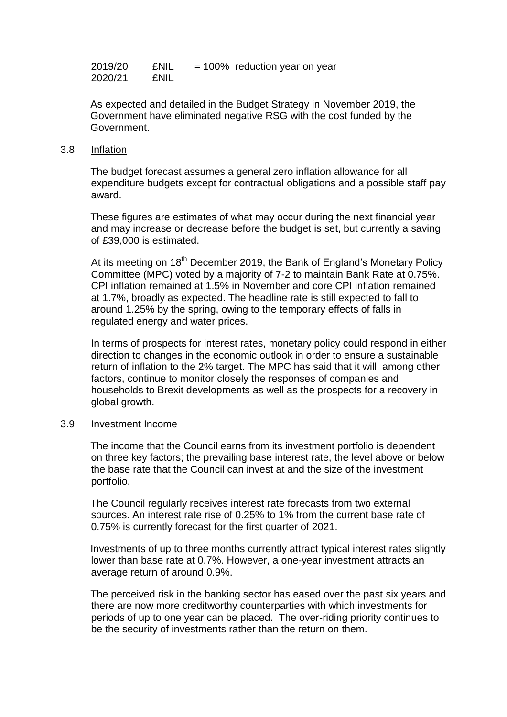| 2019/20 | <b>ENIL</b> | $= 100\%$ reduction year on year |
|---------|-------------|----------------------------------|
| 2020/21 | <b>ENIL</b> |                                  |

As expected and detailed in the Budget Strategy in November 2019, the Government have eliminated negative RSG with the cost funded by the Government.

#### 3.8 Inflation

The budget forecast assumes a general zero inflation allowance for all expenditure budgets except for contractual obligations and a possible staff pay award.

These figures are estimates of what may occur during the next financial year and may increase or decrease before the budget is set, but currently a saving of £39,000 is estimated.

At its meeting on 18<sup>th</sup> December 2019, the Bank of England's Monetary Policy Committee (MPC) voted by a majority of 7-2 to maintain Bank Rate at 0.75%. CPI inflation remained at 1.5% in November and core CPI inflation remained at 1.7%, broadly as expected. The headline rate is still expected to fall to around 1.25% by the spring, owing to the temporary effects of falls in regulated energy and water prices.

In terms of prospects for interest rates, monetary policy could respond in either direction to changes in the economic outlook in order to ensure a sustainable return of inflation to the 2% target. The MPC has said that it will, among other factors, continue to monitor closely the responses of companies and households to Brexit developments as well as the prospects for a recovery in global growth.

#### 3.9 Investment Income

The income that the Council earns from its investment portfolio is dependent on three key factors; the prevailing base interest rate, the level above or below the base rate that the Council can invest at and the size of the investment portfolio.

The Council regularly receives interest rate forecasts from two external sources. An interest rate rise of 0.25% to 1% from the current base rate of 0.75% is currently forecast for the first quarter of 2021.

Investments of up to three months currently attract typical interest rates slightly lower than base rate at 0.7%. However, a one-year investment attracts an average return of around 0.9%.

The perceived risk in the banking sector has eased over the past six years and there are now more creditworthy counterparties with which investments for periods of up to one year can be placed. The over-riding priority continues to be the security of investments rather than the return on them.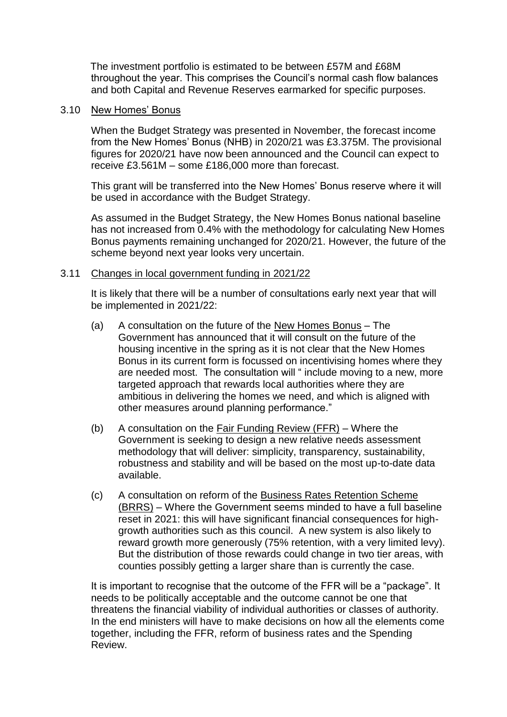The investment portfolio is estimated to be between £57M and £68M throughout the year. This comprises the Council's normal cash flow balances and both Capital and Revenue Reserves earmarked for specific purposes.

#### 3.10 New Homes' Bonus

When the Budget Strategy was presented in November, the forecast income from the New Homes' Bonus (NHB) in 2020/21 was £3.375M. The provisional figures for 2020/21 have now been announced and the Council can expect to receive £3.561M – some £186,000 more than forecast.

This grant will be transferred into the New Homes' Bonus reserve where it will be used in accordance with the Budget Strategy.

As assumed in the Budget Strategy, the New Homes Bonus national baseline has not increased from 0.4% with the methodology for calculating New Homes Bonus payments remaining unchanged for 2020/21. However, the future of the scheme beyond next year looks very uncertain.

#### 3.11 Changes in local government funding in 2021/22

It is likely that there will be a number of consultations early next year that will be implemented in 2021/22:

- (a) A consultation on the future of the New Homes Bonus The Government has announced that it will consult on the future of the housing incentive in the spring as it is not clear that the New Homes Bonus in its current form is focussed on incentivising homes where they are needed most. The consultation will " include moving to a new, more targeted approach that rewards local authorities where they are ambitious in delivering the homes we need, and which is aligned with other measures around planning performance."
- (b) A consultation on the Fair Funding Review (FFR) Where the Government is seeking to design a new relative needs assessment methodology that will deliver: simplicity, transparency, sustainability, robustness and stability and will be based on the most up-to-date data available.
- (c) A consultation on reform of the Business Rates Retention Scheme (BRRS) – Where the Government seems minded to have a full baseline reset in 2021: this will have significant financial consequences for highgrowth authorities such as this council. A new system is also likely to reward growth more generously (75% retention, with a very limited levy). But the distribution of those rewards could change in two tier areas, with counties possibly getting a larger share than is currently the case.

It is important to recognise that the outcome of the FFR will be a "package". It needs to be politically acceptable and the outcome cannot be one that threatens the financial viability of individual authorities or classes of authority. In the end ministers will have to make decisions on how all the elements come together, including the FFR, reform of business rates and the Spending Review.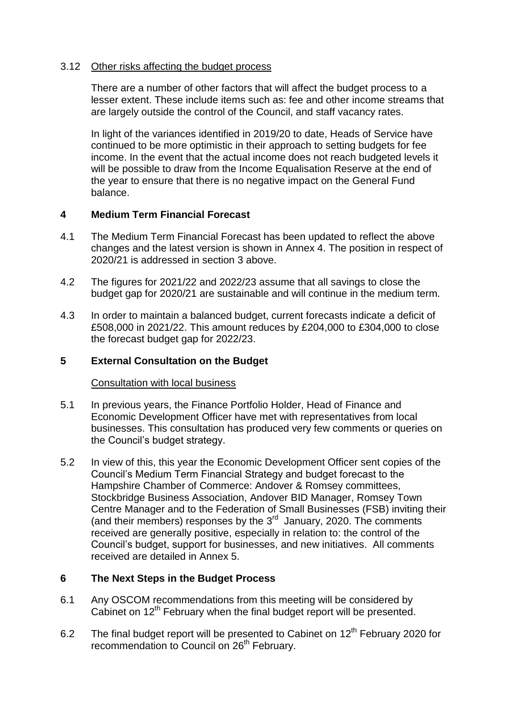### 3.12 Other risks affecting the budget process

There are a number of other factors that will affect the budget process to a lesser extent. These include items such as: fee and other income streams that are largely outside the control of the Council, and staff vacancy rates.

In light of the variances identified in 2019/20 to date, Heads of Service have continued to be more optimistic in their approach to setting budgets for fee income. In the event that the actual income does not reach budgeted levels it will be possible to draw from the Income Equalisation Reserve at the end of the year to ensure that there is no negative impact on the General Fund balance.

### **4 Medium Term Financial Forecast**

- 4.1 The Medium Term Financial Forecast has been updated to reflect the above changes and the latest version is shown in Annex 4. The position in respect of 2020/21 is addressed in section 3 above.
- 4.2 The figures for 2021/22 and 2022/23 assume that all savings to close the budget gap for 2020/21 are sustainable and will continue in the medium term.
- 4.3 In order to maintain a balanced budget, current forecasts indicate a deficit of £508,000 in 2021/22. This amount reduces by £204,000 to £304,000 to close the forecast budget gap for 2022/23.

### **5 External Consultation on the Budget**

#### **Consultation with local business**

- 5.1 In previous years, the Finance Portfolio Holder, Head of Finance and Economic Development Officer have met with representatives from local businesses. This consultation has produced very few comments or queries on the Council's budget strategy.
- 5.2 In view of this, this year the Economic Development Officer sent copies of the Council's Medium Term Financial Strategy and budget forecast to the Hampshire Chamber of Commerce: Andover & Romsey committees, Stockbridge Business Association, Andover BID Manager, Romsey Town Centre Manager and to the Federation of Small Businesses (FSB) inviting their (and their members) responses by the  $3<sup>rd</sup>$  January, 2020. The comments received are generally positive, especially in relation to: the control of the Council's budget, support for businesses, and new initiatives. All comments received are detailed in Annex 5.

### **6 The Next Steps in the Budget Process**

- 6.1 Any OSCOM recommendations from this meeting will be considered by Cabinet on 12<sup>th</sup> February when the final budget report will be presented.
- 6.2 The final budget report will be presented to Cabinet on  $12<sup>th</sup>$  February 2020 for recommendation to Council on 26<sup>th</sup> February.